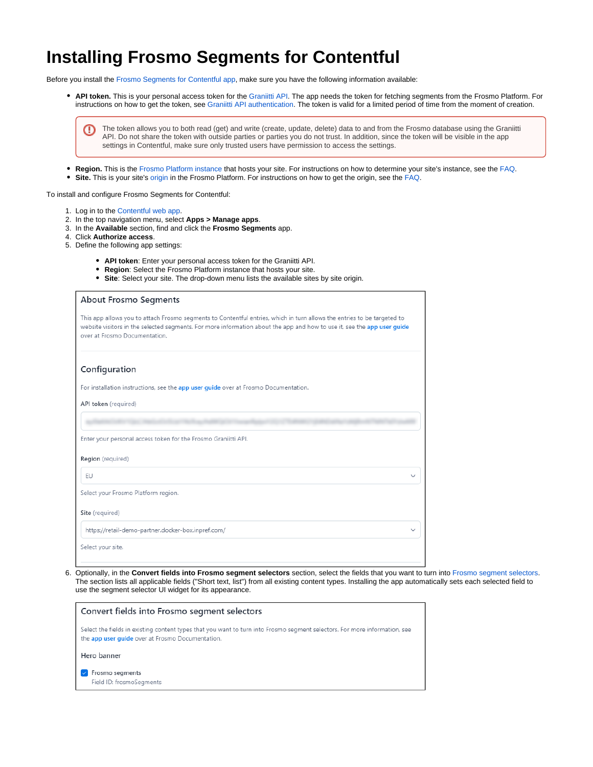## **Installing Frosmo Segments for Contentful**

Before you install the [Frosmo Segments for Contentful app](https://docs.frosmo.com/display/ui/Introduction+to+Frosmo+Segments+for+Contentful), make sure you have the following information available:

**API token.** This is your personal access token for the [Graniitti API](https://docs.frosmo.com/display/dev/Graniitti+API). The app needs the token for fetching segments from the Frosmo Platform. For instructions on how to get the token, see [Graniitti API authentication](https://docs.frosmo.com/display/dev/Graniitti+API+authentication). The token is valid for a limited period of time from the moment of creation.

The token allows you to both read (get) and write (create, update, delete) data to and from the Frosmo database using the Graniitti O) API. Do not share the token with outside parties or parties you do not trust. In addition, since the token will be visible in the app settings in Contentful, make sure only trusted users have permission to access the settings.

- **Region.** This is the [Frosmo Platform instance](https://docs.frosmo.com/display/platform/Glossary#Glossary-frosmo_instance) that hosts your site. For instructions on how to determine your site's instance, see the [FAQ.](https://docs.frosmo.com/display/faq/Frequently+asked+questions#Frequentlyaskedquestions-Siteandcompanyinformation)
- $\bullet$ **Site.** This is your site's [origin](https://docs.frosmo.com/display/platform/Glossary#Glossary-origin) in the Frosmo Platform. For instructions on how to get the origin, see the [FAQ](https://docs.frosmo.com/display/faq/Frequently+asked+questions#Frequentlyaskedquestions-Siteandcompanyinformation).

To install and configure Frosmo Segments for Contentful:

- 1. Log in to the [Contentful web app](https://app.contentful.com/).
- 2. In the top navigation menu, select **Apps > Manage apps**.
- 3. In the **Available** section, find and click the **Frosmo Segments** app.
- 4. Click **Authorize access**.
- 5. Define the following app settings:
	- **API token**: Enter your personal access token for the Graniitti API.
	- **Region**: Select the Frosmo Platform instance that hosts your site.
	- **Site**: Select your site. The drop-down menu lists the available sites by site origin.

| <b>About Frosmo Segments</b>                                                                                                                                                                                                                                                        |
|-------------------------------------------------------------------------------------------------------------------------------------------------------------------------------------------------------------------------------------------------------------------------------------|
| This app allows you to attach Frosmo segments to Contentful entries, which in turn allows the entries to be targeted to<br>website visitors in the selected segments. For more information about the app and how to use it, see the app user quide<br>over at Frosmo Documentation. |
| Configuration                                                                                                                                                                                                                                                                       |
| For installation instructions, see the app user guide over at Frosmo Documentation.                                                                                                                                                                                                 |
| API token (required)                                                                                                                                                                                                                                                                |
|                                                                                                                                                                                                                                                                                     |
| Enter your personal access token for the Frosmo Graniitti API.                                                                                                                                                                                                                      |
| Region (required)                                                                                                                                                                                                                                                                   |
| FU.                                                                                                                                                                                                                                                                                 |
| Select your Frosmo Platform region.                                                                                                                                                                                                                                                 |
| Site (required)                                                                                                                                                                                                                                                                     |
| https://retail-demo-partner.docker-box.inpref.com/                                                                                                                                                                                                                                  |
| Select your site.                                                                                                                                                                                                                                                                   |
|                                                                                                                                                                                                                                                                                     |

6. Optionally, in the **Convert fields into Frosmo segment selectors** section, select the fields that you want to turn into [Frosmo segment selectors.](https://docs.frosmo.com/display/ui/Introduction+to+Frosmo+Segments+for+Contentful) The section lists all applicable fields ("Short text, list") from all existing content types. Installing the app automatically sets each selected field to use the segment selector UI widget for its appearance.

| Convert fields into Frosmo segment selectors                                                                                                                                   |
|--------------------------------------------------------------------------------------------------------------------------------------------------------------------------------|
| Select the fields in existing content types that you want to turn into Frosmo segment selectors. For more information, see<br>the app user quide over at Frosmo Documentation. |
| Hero banner                                                                                                                                                                    |
| Frosmo segments<br>Field ID: frosmoSegments                                                                                                                                    |